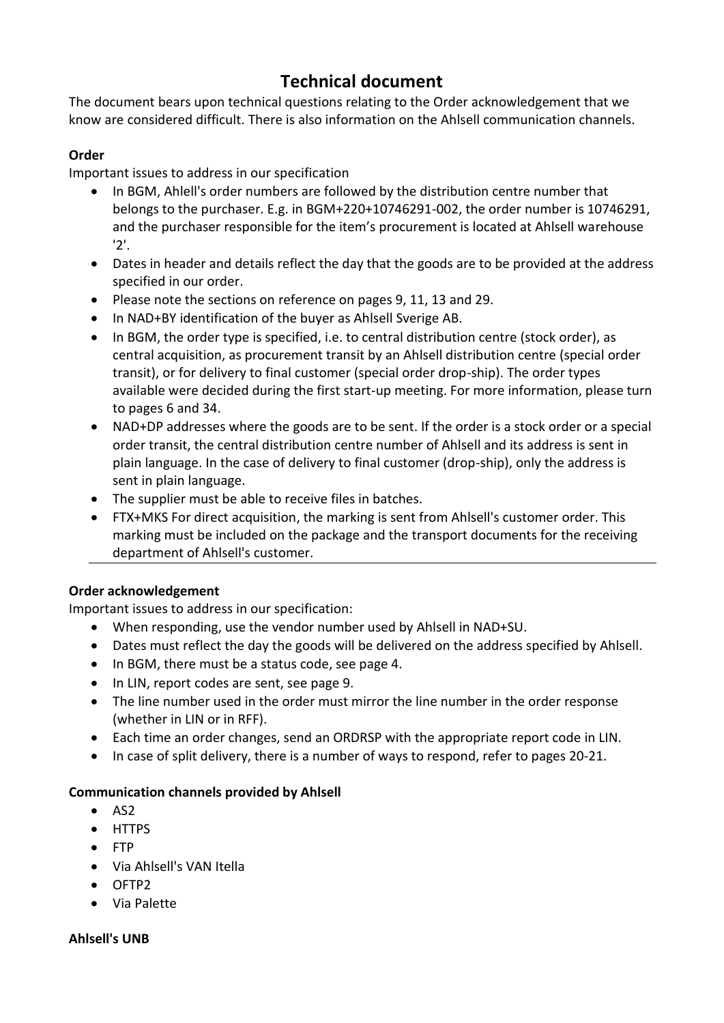# **Technical document**

The document bears upon technical questions relating to the Order acknowledgement that we know are considered difficult. There is also information on the Ahlsell communication channels.

## **Order**

Important issues to address in our specification

- In BGM, Ahlell's order numbers are followed by the distribution centre number that belongs to the purchaser. E.g. in BGM+220+10746291-002, the order number is 10746291, and the purchaser responsible for the item's procurement is located at Ahlsell warehouse '2'.
- Dates in header and details reflect the day that the goods are to be provided at the address specified in our order.
- Please note the sections on reference on pages 9, 11, 13 and 29.
- In NAD+BY identification of the buyer as Ahlsell Sverige AB.
- In BGM, the order type is specified, i.e. to central distribution centre (stock order), as central acquisition, as procurement transit by an Ahlsell distribution centre (special order transit), or for delivery to final customer (special order drop-ship). The order types available were decided during the first start-up meeting. For more information, please turn to pages 6 and 34.
- NAD+DP addresses where the goods are to be sent. If the order is a stock order or a special order transit, the central distribution centre number of Ahlsell and its address is sent in plain language. In the case of delivery to final customer (drop-ship), only the address is sent in plain language.
- The supplier must be able to receive files in batches.
- FTX+MKS For direct acquisition, the marking is sent from Ahlsell's customer order. This marking must be included on the package and the transport documents for the receiving department of Ahlsell's customer.

## **Order acknowledgement**

Important issues to address in our specification:

- When responding, use the vendor number used by Ahlsell in NAD+SU.
- Dates must reflect the day the goods will be delivered on the address specified by Ahlsell.
- In BGM, there must be a status code, see page 4.
- In LIN, report codes are sent, see page 9.
- The line number used in the order must mirror the line number in the order response (whether in LIN or in RFF).
- Each time an order changes, send an ORDRSP with the appropriate report code in LIN.
- In case of split delivery, there is a number of ways to respond, refer to pages 20-21.

## **Communication channels provided by Ahlsell**

- AS2
- HTTPS
- FTP
- Via Ahlsell's VAN Itella
- OFTP2
- Via Palette

## **Ahlsell's UNB**